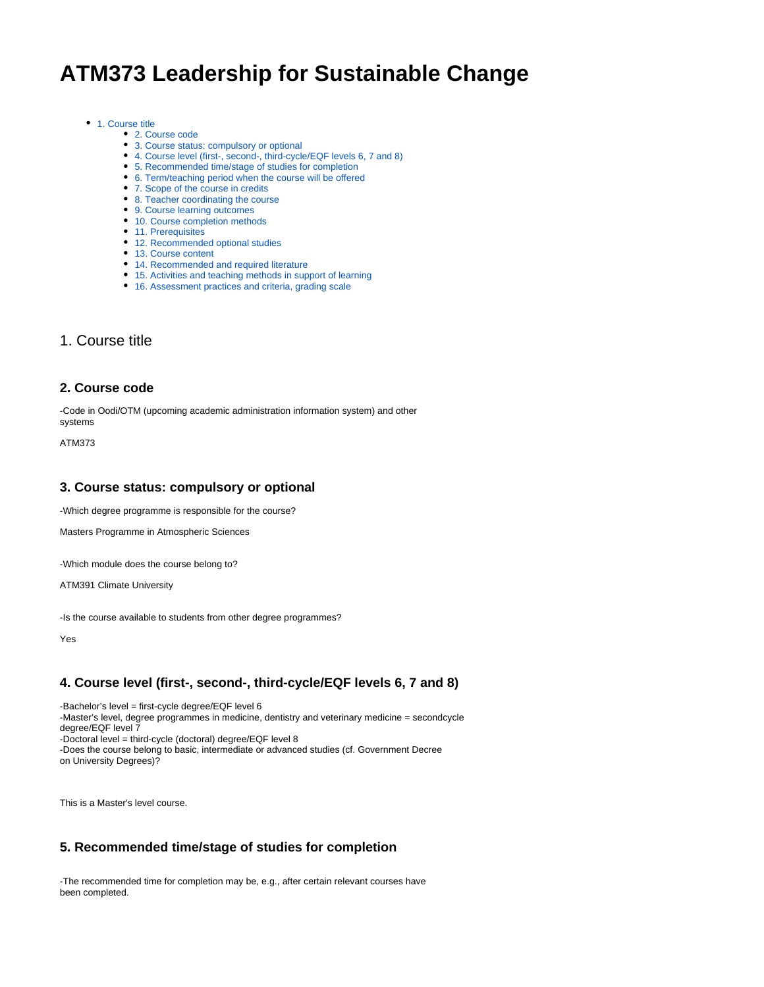# **ATM373 Leadership for Sustainable Change**

#### ● [1. Course title](https://wiki.helsinki.fi/display/opetussuunnitelma/Course+details#Coursedetails-1.Coursetitle)

- [2. Course code](https://wiki.helsinki.fi/display/opetussuunnitelma/Course+details#Coursedetails-2.Coursecode)
- [3. Course status: compulsory or optional](https://wiki.helsinki.fi/display/opetussuunnitelma/Course+details#Coursedetails-3.Coursestatus:compulsoryoroptional)
- [4. Course level \(first-, second-, third-cycle/EQF levels 6, 7 and 8\)](https://wiki.helsinki.fi/display/opetussuunnitelma/Course+details#Coursedetails-4.Courselevel(first-,second-,third-cycle/EQFlevels6,7and8))
- [5. Recommended time/stage of studies for completion](https://wiki.helsinki.fi/display/opetussuunnitelma/Course+details#Coursedetails-5.Recommendedtime/stageofstudiesforcompletion)
- [6. Term/teaching period when the course will be offered](https://wiki.helsinki.fi/display/opetussuunnitelma/Course+details#Coursedetails-6.Term/teachingperiodwhenthecoursewillbeoffered)
- [7. Scope of the course in credits](https://wiki.helsinki.fi/display/opetussuunnitelma/Course+details#Coursedetails-7.Scopeofthecourseincredits)
- [8. Teacher coordinating the course](https://wiki.helsinki.fi/display/opetussuunnitelma/Course+details#Coursedetails-8.Teachercoordinatingthecourse)
- [9. Course learning outcomes](https://wiki.helsinki.fi/display/opetussuunnitelma/Course+details#Coursedetails-9.Courselearningoutcomes)
- [10. Course completion methods](https://wiki.helsinki.fi/display/opetussuunnitelma/Course+details#Coursedetails-10.Coursecompletionmethods)
- [11. Prerequisites](https://wiki.helsinki.fi/display/opetussuunnitelma/Course+details#Coursedetails-11.Prerequisites)
- [12. Recommended optional studies](https://wiki.helsinki.fi/display/opetussuunnitelma/Course+details#Coursedetails-12.Recommendedoptionalstudies)
- [13. Course content](https://wiki.helsinki.fi/display/opetussuunnitelma/Course+details#Coursedetails-13.Coursecontent)
- [14. Recommended and required literature](https://wiki.helsinki.fi/display/opetussuunnitelma/Course+details#Coursedetails-14.Recommendedandrequiredliterature)
- [15. Activities and teaching methods in support of learning](https://wiki.helsinki.fi/display/opetussuunnitelma/Course+details#Coursedetails-15.Activitiesandteachingmethodsinsupportoflearning)
- [16. Assessment practices and criteria, grading scale](https://wiki.helsinki.fi/display/opetussuunnitelma/Course+details#Coursedetails-16.Assessmentpracticesandcriteria,gradingscale)

## 1. Course title

#### **2. Course code**

-Code in Oodi/OTM (upcoming academic administration information system) and other systems

ATM373

## **3. Course status: compulsory or optional**

-Which degree programme is responsible for the course?

Masters Programme in Atmospheric Sciences

-Which module does the course belong to?

ATM391 Climate University

-Is the course available to students from other degree programmes?

Yes

## **4. Course level (first-, second-, third-cycle/EQF levels 6, 7 and 8)**

-Bachelor's level = first-cycle degree/EQF level 6 -Master's level, degree programmes in medicine, dentistry and veterinary medicine = secondcycle degree/EQF level 7 -Doctoral level = third-cycle (doctoral) degree/EQF level 8 -Does the course belong to basic, intermediate or advanced studies (cf. Government Decree on University Degrees)?

This is a Master's level course.

## **5. Recommended time/stage of studies for completion**

-The recommended time for completion may be, e.g., after certain relevant courses have been completed.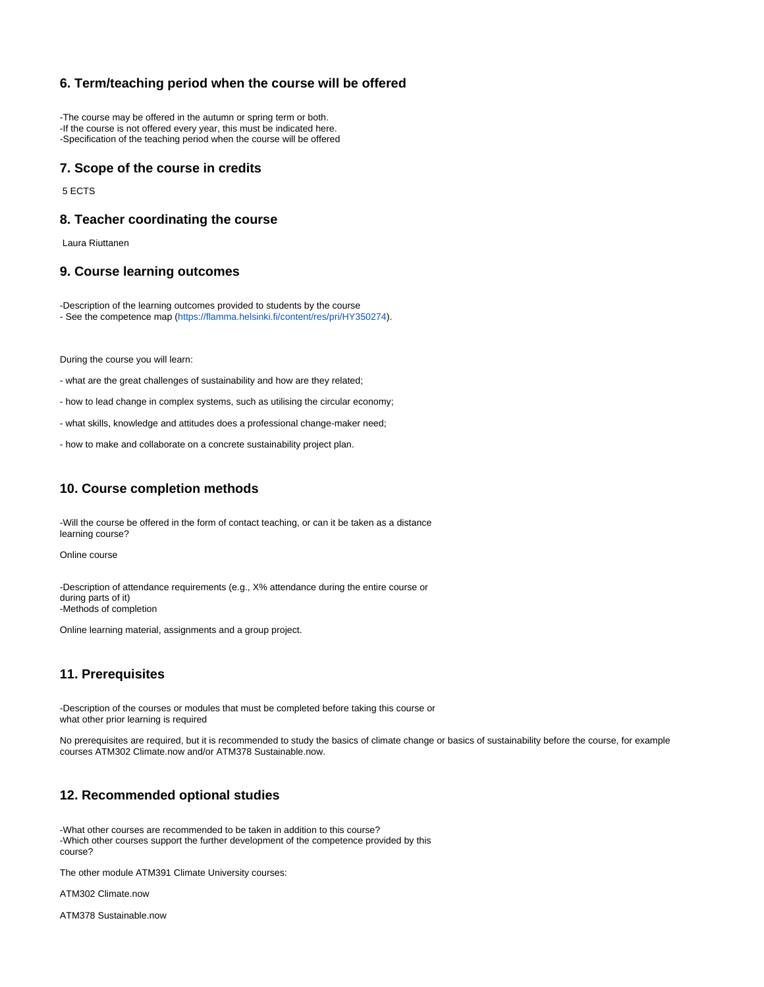## **6. Term/teaching period when the course will be offered**

-The course may be offered in the autumn or spring term or both. -If the course is not offered every year, this must be indicated here. -Specification of the teaching period when the course will be offered

#### **7. Scope of the course in credits**

5 ECTS

#### **8. Teacher coordinating the course**

Laura Riuttanen

#### **9. Course learning outcomes**

-Description of the learning outcomes provided to students by the course - See the competence map ([https://flamma.helsinki.fi/content/res/pri/HY350274\)](https://flamma.helsinki.fi/content/res/pri/HY350274).

During the course you will learn:

- what are the great challenges of sustainability and how are they related;

- how to lead change in complex systems, such as utilising the circular economy;

- what skills, knowledge and attitudes does a professional change-maker need;

- how to make and collaborate on a concrete sustainability project plan.

## **10. Course completion methods**

-Will the course be offered in the form of contact teaching, or can it be taken as a distance learning course?

Online course

-Description of attendance requirements (e.g., X% attendance during the entire course or during parts of it) -Methods of completion

Online learning material, assignments and a group project.

## **11. Prerequisites**

-Description of the courses or modules that must be completed before taking this course or what other prior learning is required

No prerequisites are required, but it is recommended to study the basics of climate change or basics of sustainability before the course, for example courses ATM302 Climate.now and/or ATM378 Sustainable.now.

## **12. Recommended optional studies**

-What other courses are recommended to be taken in addition to this course? -Which other courses support the further development of the competence provided by this course?

The other module ATM391 Climate University courses:

ATM302 Climate.now

ATM378 Sustainable.now